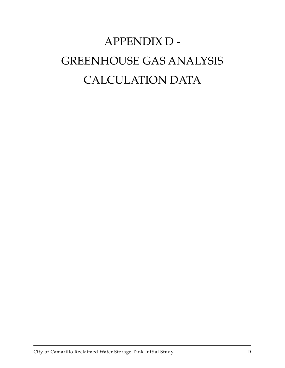# APPENDIX D - GREENHOUSE GAS ANALYSIS CALCULATION DATA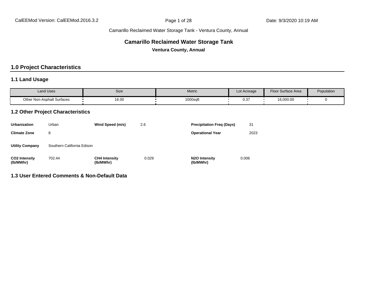#### **Camarillo Reclaimed Water Storage Tank**

**Ventura County, Annual**

#### **1.0 Project Characteristics**

#### **1.1 Land Usage**

| <b>Land Uses</b>                  | Size  | Metric   | Lot Acreage          | <b>Floor Surface Area</b> | Population |
|-----------------------------------|-------|----------|----------------------|---------------------------|------------|
| <b>Other Non-Asphalt Surfaces</b> | 16.00 | 1000sqft | $\sim$ $\sim$<br>U.J | 16,000.00                 |            |

#### **1.2 Other Project Characteristics**

| <b>Urbanization</b>               | Urban                      | Wind Speed (m/s)                  | 2.6   | <b>Precipitation Freg (Days)</b>        | 31    |
|-----------------------------------|----------------------------|-----------------------------------|-------|-----------------------------------------|-------|
| <b>Climate Zone</b>               | 8                          |                                   |       | <b>Operational Year</b>                 | 2023  |
| <b>Utility Company</b>            | Southern California Edison |                                   |       |                                         |       |
| <b>CO2 Intensity</b><br>(lb/MWhr) | 702.44                     | <b>CH4 Intensity</b><br>(lb/MWhr) | 0.029 | N <sub>2</sub> O Intensity<br>(lb/MWhr) | 0.006 |

#### **1.3 User Entered Comments & Non-Default Data**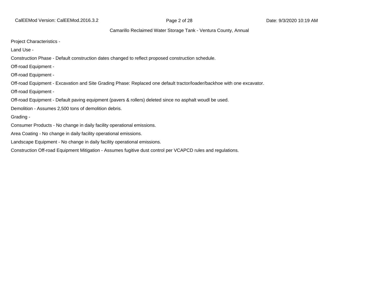CalEEMod Version: CalEEMod.2016.3.2 **Page 2 of 28** Page 2 of 28 Date: 9/3/2020 10:19 AM

#### Camarillo Reclaimed Water Storage Tank - Ventura County, Annual

Project Characteristics -

Land Use -

Construction Phase - Default construction dates changed to reflect proposed construction schedule.

Off-road Equipment -

Off-road Equipment -

Off-road Equipment - Excavation and Site Grading Phase: Replaced one default tractor/loader/backhoe with one excavator.

Off-road Equipment -

Off-road Equipment - Default paving equipment (pavers & rollers) deleted since no asphalt woudl be used.

Demolition - Assumes 2,500 tons of demolition debris.

Grading -

Consumer Products - No change in daily facility operational emissions.

Area Coating - No change in daily facility operational emissions.

Landscape Equipment - No change in daily facility operational emissions.

Construction Off-road Equipment Mitigation - Assumes fugitive dust control per VCAPCD rules and regulations.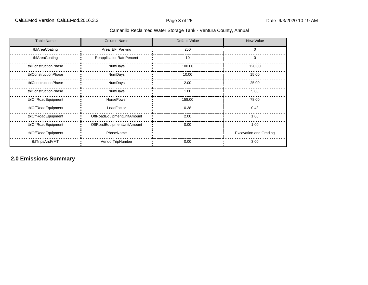| <b>Table Name</b>    | <b>Column Name</b>         | Default Value | <b>New Value</b>              |
|----------------------|----------------------------|---------------|-------------------------------|
| tblAreaCoating       | Area_EF_Parking            | 250           | $\Omega$                      |
| tblAreaCoating       | ReapplicationRatePercent   | 10            | 0                             |
| tblConstructionPhase | NumDays                    | 100.00        | 120.00                        |
| tblConstructionPhase | NumDays                    | 10.00         | 15.00                         |
| tblConstructionPhase | NumDays                    | 2.00          | 25.00                         |
| tblConstructionPhase | NumDays                    | 1.00          | 5.00                          |
| tblOffRoadEquipment  | HorsePower                 | 158.00        | 78.00                         |
| tblOffRoadEquipment  | LoadFactor                 | 0.38          | 0.48                          |
| tblOffRoadEquipment  | OffRoadEquipmentUnitAmount | 2.00          | 1.00                          |
| tblOffRoadEquipment  | OffRoadEquipmentUnitAmount | 0.00          | 1.00                          |
| tblOffRoadEquipment  | PhaseName                  |               | <b>Excavation and Grading</b> |
| tblTripsAndVMT       | VendorTripNumber           | 0.00          | 3.00                          |

## **2.0 Emissions Summary**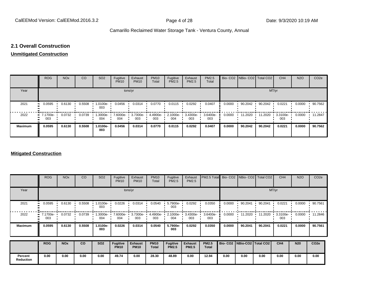#### **2.1 Overall Construction**

#### **Unmitigated Construction**

|                | <b>ROG</b>                         | <b>NO<sub>x</sub></b> | CO     | SO <sub>2</sub> | Fugitive<br><b>PM10</b> | Exhaust<br><b>PM10</b> | <b>PM10</b><br>Total | Fugitive<br>PM2.5 | Exhaust<br>PM2.5 | <b>PM2.5</b><br>Total |        | Bio- CO2   NBio- CO2   Total CO2 |         | CH <sub>4</sub> | <b>N2O</b> | CO <sub>2e</sub> |
|----------------|------------------------------------|-----------------------|--------|-----------------|-------------------------|------------------------|----------------------|-------------------|------------------|-----------------------|--------|----------------------------------|---------|-----------------|------------|------------------|
| Year           |                                    |                       |        |                 | tons/yr                 |                        |                      |                   |                  |                       |        |                                  | MT/yr   |                 |            |                  |
| 2021           | 0.0595                             | 0.6130                | 0.5508 | 1.0100e-<br>003 | 0.0456                  | 0.0314                 | 0.0770               | 0.0115            | 0.0292           | 0.0407                | 0.0000 | 90.2042                          | 90.2042 | 0.0221          | 0.0000     | 90.7562          |
| 2022           | $\blacksquare$ 7.1700e-<br><br>003 | 0.0732                | 0.0739 | 1.3000e-<br>004 | 7.6000e-<br>004         | 3.7300e-<br>003        | 4.4900e-<br>003      | 2.1000e-<br>004   | 3.4300e-<br>003  | 3.6400e-<br>003       | 0.0000 | 11.2020                          | 11.2020 | 3.3100e-<br>003 | 0.0000     | 11.2847          |
| <b>Maximum</b> | 0.0595                             | 0.6130                | 0.5508 | 1.0100e-<br>003 | 0.0456                  | 0.0314                 | 0.0770               | 0.0115            | 0.0292           | 0.0407                | 0.0000 | 90.2042                          | 90.2042 | 0.0221          | 0.0000     | 90.7562          |

#### **Mitigated Construction**

|                             | <b>ROG</b>        | <b>NO<sub>x</sub></b> | CO     | SO <sub>2</sub> | Fugitive<br><b>PM10</b>        | Exhaust<br><b>PM10</b>        | <b>PM10</b><br>Total        | Fugitive<br>PM2.5               | Exhaust<br>PM2.5               | PM2.5 Total                  |        |                                 | Bio- CO2   NBio- CO2   Total CO2 | CH <sub>4</sub> | <b>N2O</b> | CO <sub>2e</sub> |
|-----------------------------|-------------------|-----------------------|--------|-----------------|--------------------------------|-------------------------------|-----------------------------|---------------------------------|--------------------------------|------------------------------|--------|---------------------------------|----------------------------------|-----------------|------------|------------------|
| Year                        |                   |                       |        |                 |                                | tons/yr                       |                             |                                 |                                |                              |        |                                 |                                  | MT/yr           |            |                  |
| 2021                        | 0.0595<br>        | 0.6130                | 0.5508 | 1.0100e-<br>003 | 0.0226                         | 0.0314                        | 0.0540                      | 5.7900e-<br>003                 | 0.0292                         | 0.0350                       | 0.0000 | 90.2041                         | 90.2041                          | 0.0221          | 0.0000     | 90.7561          |
| 2022                        | 7.1700e- '<br>003 | 0.0732                | 0.0739 | 1.3000e-<br>004 | 7.6000e-<br>004                | $3.7300e - 1$<br>003          | 4.4900e-<br>003             | 2.1000e-<br>004                 | $3.4300e -$<br>003             | 3.6400e-<br>003              | 0.0000 | 11.2020                         | 11.2020                          | 3.3100e-<br>003 | 0.0000     | 11.2846          |
| <b>Maximum</b>              | 0.0595            | 0.6130                | 0.5508 | 1.0100e-<br>003 | 0.0226                         | 0.0314                        | 0.0540                      | 5.7900e-<br>003                 | 0.0292                         | 0.0350                       | 0.0000 | 90.2041                         | 90.2041                          | 0.0221          | 0.0000     | 90.7561          |
|                             | <b>ROG</b>        | <b>NO<sub>x</sub></b> | co     | <b>SO2</b>      | <b>Fugitive</b><br><b>PM10</b> | <b>Exhaust</b><br><b>PM10</b> | <b>PM10</b><br><b>Total</b> | <b>Fugitive</b><br><b>PM2.5</b> | <b>Exhaust</b><br><b>PM2.5</b> | <b>PM2.5</b><br><b>Total</b> |        | Bio- CO2   NBio-CO2   Total CO2 |                                  | CH <sub>4</sub> | <b>N20</b> | CO <sub>2e</sub> |
| Percent<br><b>Reduction</b> | 0.00              | 0.00                  | 0.00   | 0.00            | 49.74                          | 0.00                          | 28.30                       | 48.89                           | 0.00                           | 12.94                        | 0.00   | 0.00                            | 0.00                             | 0.00            | 0.00       | 0.00             |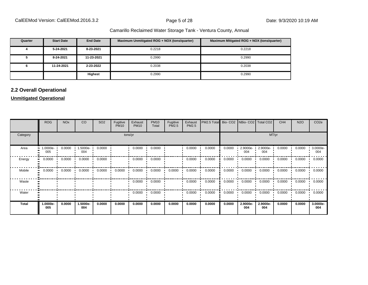| Quarter | <b>Start Date</b> | <b>End Date</b> | Maximum Unmitigated ROG + NOX (tons/quarter) | Maximum Mitigated ROG + NOX (tons/quarter) |
|---------|-------------------|-----------------|----------------------------------------------|--------------------------------------------|
|         | 5-24-2021         | 8-23-2021       | 0.2218                                       | 0.2218                                     |
|         | 8-24-2021         | 11-23-2021      | 0.2990                                       | 0.2990                                     |
|         | 11-24-2021        | 2-23-2022       | 0.2038                                       | 0.2038                                     |
|         |                   | <b>Highest</b>  | 0.2990                                       | 0.2990                                     |

#### **2.2 Overall Operational**

#### **Unmitigated Operational**

|                      | <b>ROG</b>       | <b>NO<sub>x</sub></b> | CO              | SO <sub>2</sub> | Fugitive<br><b>PM10</b> | Exhaust<br><b>PM10</b> | <b>PM10</b><br>Total | Fugitive<br>PM2.5 | Exhaust<br>PM2.5 | PM2.5 Total |        | Bio- CO2   NBio- CO2   Total CO2 |                 | CH <sub>4</sub> | <b>N2O</b> | CO <sub>2e</sub> |
|----------------------|------------------|-----------------------|-----------------|-----------------|-------------------------|------------------------|----------------------|-------------------|------------------|-------------|--------|----------------------------------|-----------------|-----------------|------------|------------------|
| Category             |                  |                       |                 |                 |                         | tons/yr                |                      |                   |                  |             |        |                                  | MT/yr           |                 |            |                  |
| Area<br>$\mathbf{u}$ | $.0000e-$<br>005 | 0.0000                | 1.5000e-<br>004 | 0.0000          |                         | 0.0000                 | 0.0000               |                   | 0.0000           | 0.0000      | 0.0000 | 2.9000e-<br>004                  | 2.9000e-<br>004 | 0.0000          | 0.0000     | 3.0000e-<br>004  |
| Energy<br>п.         | 0.0000           | 0.0000                | 0.0000          | 0.0000          |                         | 0.0000                 | 0.0000               |                   | 0.0000           | 0.0000      | 0.0000 | 0.0000                           | 0.0000          | 0.0000          | 0.0000     | 0.0000           |
| Mobile<br>$\bullet$  | 0.0000           | 0.0000                | 0.0000          | 0.0000          | 0.0000                  | 0.0000                 | 0.0000               | 0.0000            | 0.0000           | 0.0000      | 0.0000 | 0.0000                           | 0.0000          | 0.0000          | 0.0000     | 0.0000           |
| Waste                |                  |                       |                 |                 |                         | 0.0000                 | 0.0000               |                   | 0.0000           | 0.0000      | 0.0000 | 0.0000                           | 0.0000          | 0.0000          | 0.0000     | 0.0000           |
| Water                |                  |                       |                 |                 |                         | 0.0000                 | 0.0000               |                   | 0.0000           | 0.0000      | 0.0000 | 0.0000                           | 0.0000          | 0.0000          | 0.0000     | 0.0000           |
| <b>Total</b>         | -.0000e<br>005   | 0.0000                | 1.5000e-<br>004 | 0.0000          | 0.0000                  | 0.0000                 | 0.0000               | 0.0000            | 0.0000           | 0.0000      | 0.0000 | 2.9000e-<br>004                  | 2.9000e-<br>004 | 0.0000          | 0.0000     | 3.0000e-<br>004  |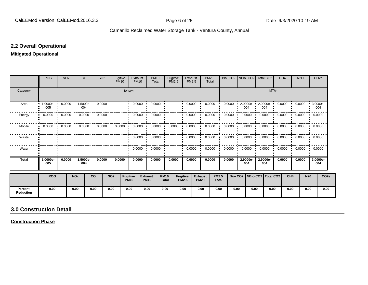#### **2.2 Overall Operational**

#### **Mitigated Operational**

|                             | <b>ROG</b>      | <b>NO<sub>x</sub></b> |                                                 | CO              | SO <sub>2</sub> | Fugitive<br><b>PM10</b> |                         | Exhaust<br><b>PM10</b>  | <b>PM10</b><br>Total          |                             | Fugitive<br><b>PM2.5</b> | Exhaust<br><b>PM2.5</b> | PM2.5                          | Total                        | Bio-CO <sub>2</sub> |                                 |                                    | NBio-CO2   Total CO2 |       | CH <sub>4</sub> | <b>N2O</b>                 |                 | CO <sub>2e</sub> |
|-----------------------------|-----------------|-----------------------|-------------------------------------------------|-----------------|-----------------|-------------------------|-------------------------|-------------------------|-------------------------------|-----------------------------|--------------------------|-------------------------|--------------------------------|------------------------------|---------------------|---------------------------------|------------------------------------|----------------------|-------|-----------------|----------------------------|-----------------|------------------|
| Category                    |                 |                       |                                                 |                 |                 |                         | tons/yr                 |                         |                               |                             |                          |                         |                                |                              |                     |                                 |                                    |                      | MT/yr |                 |                            |                 |                  |
| Area                        | 1.0000e-<br>005 | 0.0000                |                                                 | 1.5000e-<br>004 | 0.0000          |                         |                         | 0.0000                  | 0.0000                        |                             |                          | 0.0000                  |                                | 0.0000                       | 0.0000              |                                 | $2.9000e -$<br>004                 | 2.9000e-<br>004      |       | 0.0000          | 0.0000                     | 3.0000e-<br>004 |                  |
| Energy                      | 0.0000          | 0.0000                |                                                 | 0.0000          | 0.0000          |                         |                         | 0.0000                  | 0.0000                        |                             |                          | 0.0000                  |                                | 0.0000                       | 0.0000              |                                 | 0.0000                             | 0.0000               |       | 0.0000          | 0.0000                     | 0.0000          |                  |
| Mobile                      | 0.0000          |                       | $0.0000$ $\blacksquare$ $0.0000$ $\blacksquare$ |                 | 0.0000          |                         | 0.0000                  | 0.0000                  | 0.0000                        |                             | 0.0000                   | 0.0000                  |                                | 0.0000                       | 0.0000              |                                 | 0.0000                             | 0.0000               |       |                 | $0.0000$ $0.0000$ $0.0000$ |                 |                  |
| Waste                       |                 |                       |                                                 |                 |                 |                         |                         | $0.0000$ $\blacksquare$ | 0.0000                        |                             |                          | 0.0000                  |                                | 0.0000                       | 0.0000              |                                 | 0.0000<br>$\overline{\phantom{a}}$ | 0.0000               | . .   |                 | $0.0000$ $0.0000$ $0.0000$ |                 |                  |
| Water                       |                 |                       |                                                 |                 |                 |                         |                         | 0.0000                  | 0.0000                        |                             |                          | 0.0000                  |                                | 0.0000                       | 0.0000              |                                 | 0.0000                             | 0.0000               |       | 0.0000          | 0.0000                     | 0.0000          |                  |
| <b>Total</b>                | 1.0000e-<br>005 | 0.0000                |                                                 | 1.5000e-<br>004 | 0.0000          | 0.0000                  |                         | 0.0000                  | 0.0000                        |                             | 0.0000                   | 0.0000                  |                                | 0.0000                       | 0.0000              |                                 | 2.9000e-<br>004                    | 2.9000e-<br>004      |       | 0.0000          | 0.0000                     | 3.0000e-<br>004 |                  |
|                             | <b>ROG</b>      |                       | <b>NOx</b>                                      |                 | co              | <b>SO2</b>              | Fugitive<br><b>PM10</b> |                         | <b>Exhaust</b><br><b>PM10</b> | <b>PM10</b><br><b>Total</b> | Fugitive<br><b>PM2.5</b> |                         | <b>Exhaust</b><br><b>PM2.5</b> | <b>PM2.5</b><br><b>Total</b> |                     | Bio- CO2   NBio-CO2   Total CO2 |                                    |                      |       | CH <sub>4</sub> |                            | <b>N20</b>      | CO <sub>2e</sub> |
| Percent<br><b>Reduction</b> | 0.00            |                       | 0.00                                            |                 | 0.00            | 0.00                    | 0.00                    |                         | 0.00                          | 0.00                        | 0.00                     |                         | 0.00                           | 0.00                         |                     | 0.00                            | 0.00                               |                      | 0.00  | 0.00            |                            | 0.00            | 0.00             |

### **3.0 Construction Detail**

**Construction Phase**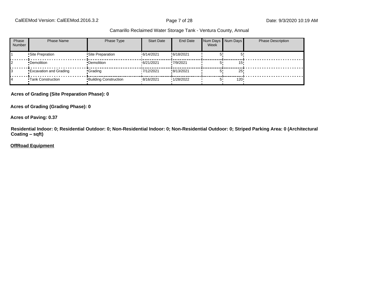| Phase<br><b>Number</b> | <b>Phase Name</b>             | Phase Type                   | <b>Start Date</b> | End Date   | Num Days Num Days<br>Week |                  | <b>Phase Description</b> |
|------------------------|-------------------------------|------------------------------|-------------------|------------|---------------------------|------------------|--------------------------|
|                        | Site Prepration               | •Site Preparation            | 16/14/2021        | !6/18/2021 |                           |                  |                          |
|                        | •Demolition                   | •Demolition                  | 16/21/2021        | !7/9/2021  |                           | 15 <sub>1</sub>  |                          |
|                        | <b>Excavation and Grading</b> | •Grading                     | 17/12/2021        | !8/13/2021 |                           | 25 <sub>1</sub>  |                          |
|                        | <b>Tank Construction</b>      | <b>Building Construction</b> | <b>8/16/2021</b>  | '1/28/2022 |                           | 120 <sup>1</sup> |                          |

**Acres of Grading (Site Preparation Phase): 0**

**Acres of Grading (Grading Phase): 0**

**Acres of Paving: 0.37**

**Residential Indoor: 0; Residential Outdoor: 0; Non-Residential Indoor: 0; Non-Residential Outdoor: 0; Striped Parking Area: 0 (Architectural Coating ±sqft)**

#### **OffRoad Equipment**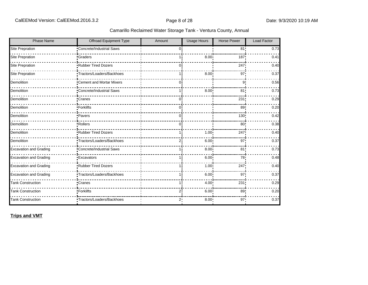| <b>Phase Name</b>             | Offroad Equipment Type     | Amount       | <b>Usage Hours</b> | <b>Horse Power</b> | <b>Load Factor</b> |
|-------------------------------|----------------------------|--------------|--------------------|--------------------|--------------------|
| <b>Site Prepration</b>        | Concrete/Industrial Saws   | <sup>0</sup> |                    | 81!                | 0.73               |
| <b>Site Prepration</b>        | <b>Graders</b>             |              | 8.00               | 187                | 0.41               |
| <b>Site Prepration</b>        | Rubber Tired Dozers        | 0            |                    | 247                | 0.40               |
| Site Prepration               | •Tractors/Loaders/Backhoes |              | $8.00^{\circ}$     | 97'                | 0.37               |
| Demolition                    | "Cement and Mortar Mixers  | 0i           |                    | 9                  | 0.56               |
| Demolition                    | Concrete/Industrial Saws   |              | 8.00               | 81                 | 0.73               |
| Demolition                    | <b>Cranes</b>              | 0            |                    | 231                | 0.29               |
| Demolition                    | -Forklifts                 | 0i           |                    | 89!                | 0.20               |
| Demolition                    | ·Pavers                    | Ωi           |                    | 130!               | 0.42               |
| Demolition                    | Rollers                    | 0 i          |                    | 80 <sub>1</sub>    | 0.38               |
| Demolition                    | <b>Rubber Tired Dozers</b> |              | 1.00               | 247                | 0.40               |
| Demolition                    | Tractors/Loaders/Backhoes  | 2i           | 6.00 <sup>1</sup>  | 97 <sub>1</sub>    | 0.37               |
| <b>Excavation and Grading</b> | Concrete/Industrial Saws   |              | 8.00               | 81 <sub>1</sub>    | 0.73               |
| <b>Excavation and Grading</b> | <b>Excavators</b>          |              | $6.00^{\circ}$     | 78                 | 0.48               |
| <b>Excavation and Grading</b> | Rubber Tired Dozers        |              | 1.00               | 247!               | 0.40               |
| <b>Excavation and Grading</b> | Tractors/Loaders/Backhoes  |              | 6.00               | 97 <sub>1</sub>    | 0.37               |
| <b>Tank Construction</b>      | Cranes                     |              | 4.00               | 231                | 0.29               |
| <b>Tank Construction</b>      | •Forklifts                 | 2            | 6.00               | 89 <sub>1</sub>    | 0.20               |
| <b>Tank Construction</b>      | •Tractors/Loaders/Backhoes | 2:           | 8.00               | $97 -$             | 0.37               |

**Trips and VMT**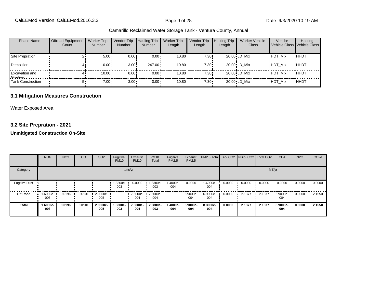| <b>Phase Name</b>                | <b>Offroad Equipment</b><br>Count | <b>Worker Trip</b><br><b>Number</b> | Vendor Trip<br><b>Number</b> | <b>Hauling Trip</b><br><b>Number</b> | <b>Worker Trip</b><br>Length | Vendor Trip<br>Length | <b>Hauling Trip</b><br>Length | <b>Worker Vehicle</b><br>Class | Vendor         | Hauling<br>Vehicle Class Vehicle Class |
|----------------------------------|-----------------------------------|-------------------------------------|------------------------------|--------------------------------------|------------------------------|-----------------------|-------------------------------|--------------------------------|----------------|----------------------------------------|
| Site Prepration                  |                                   | $5.00 -$                            | 0.00!                        | $0.00 \cdot$                         | 10.80i                       | 7.30!                 |                               | 20.00 LD Mix                   | <b>HDT Mix</b> | !HHDT                                  |
| Demolition                       |                                   | 10.00                               | 3.00                         | $247.00 \cdot$                       | 10.80i                       | 7.30!                 |                               | 20.00 LD Mix                   | <b>HDT Mix</b> | !HHDT                                  |
| <b>Excavation and</b><br>Cradina |                                   | 10.00                               | 0.00!                        | $0.00 \cdot$                         | 10.80i                       | 7.30!                 |                               | 20.00 LD Mix                   | <b>HDT Mix</b> | !HHDT                                  |
| Tank Construction                |                                   | $7.00 \cdot$                        | $3.00 -$                     | $0.00 \cdot$                         | $10.80 -$                    | $7.30 \cdot$          |                               | 20.00 LD Mix                   | <b>HDT Mix</b> | <b>HHDT</b>                            |

#### **3.1 Mitigation Measures Construction**

Water Exposed Area

#### **3.2 Site Prepration - 2021**

#### **Unmitigated Construction On-Site**

|                      | <b>ROG</b>                     | <b>NO<sub>x</sub></b> | CO     | SO <sub>2</sub>         | Fugitive<br><b>PM10</b> | Exhaust<br><b>PM10</b> | <b>PM10</b><br>Total | Fugitive<br>PM2.5 | Exhaust<br><b>PM2.5</b> | <b>PM2.5 Total</b> Bio- CO2 NBio- CO2 Total CO2 |        |        |        | CH <sub>4</sub> | <b>N2O</b> | CO <sub>2e</sub> |
|----------------------|--------------------------------|-----------------------|--------|-------------------------|-------------------------|------------------------|----------------------|-------------------|-------------------------|-------------------------------------------------|--------|--------|--------|-----------------|------------|------------------|
| Category             |                                |                       |        |                         |                         | tons/yr                |                      |                   |                         |                                                 |        |        |        | MT/yr           |            |                  |
| <b>Fugitive Dust</b> |                                |                       |        |                         | 1.3300e-<br>003         | 0.0000                 | .3300e-<br>003       | -.4000e<br>004    | 0.0000                  | 1.4000e-<br>004                                 | 0.0000 | 0.0000 | 0.0000 | 0.0000          | 0.0000     | 0.0000           |
| Off-Road             | $\blacksquare$ 1.6000e-<br>003 | 0.0196                | 0.0101 | $\cdot$ 2.0000e-<br>005 |                         | 7.5000e-<br>004        | 7.5000e-<br>004      |                   | 6.9000e-<br>004         | 6.9000e-<br>004                                 | 0.0000 | 2.1377 | 2.1377 | 6.9000e-<br>004 | 0.0000     | 2.1550           |
| <b>Total</b>         | 1.6000e-<br>003                | 0.0196                | 0.0101 | 2.0000e-<br>005         | 1.3300e-<br>003         | 7.5000e-<br>004        | 2.0800e-<br>003      | 1.4000e-<br>004   | 6.9000e-<br>004         | 8.3000e-<br>004                                 | 0.0000 | 2.1377 | 2.1377 | 6.9000e-<br>004 | 0.0000     | 2.1550           |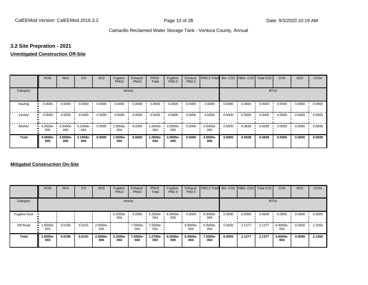#### **3.2 Site Prepration - 2021**

#### **Unmitigated Construction Off-Site**

|              | <b>ROG</b>                   | <b>NO<sub>x</sub></b> | CO              | SO <sub>2</sub> | Fugitive<br><b>PM10</b> | Exhaust<br><b>PM10</b> | <b>PM10</b><br>Total | Fugitive<br><b>PM2.5</b> | Exhaust<br>PM2.5 | PM2.5 Total Bio- CO2 NBio- CO2 Total CO2 |        |        |        | CH <sub>4</sub> | <b>N2O</b> | CO <sub>2e</sub> |
|--------------|------------------------------|-----------------------|-----------------|-----------------|-------------------------|------------------------|----------------------|--------------------------|------------------|------------------------------------------|--------|--------|--------|-----------------|------------|------------------|
| Category     |                              |                       |                 |                 | tons/yr                 |                        |                      |                          |                  |                                          |        |        | MT/yr  |                 |            |                  |
| Hauling<br>œ | 0.0000                       | 0.0000                | 0.0000          | 0.0000          | 0.0000                  | 0.0000                 | 0.0000               | 0.0000                   | 0.0000           | 0.0000                                   | 0.0000 | 0.0000 | 0.0000 | 0.0000          | 0.0000     | 0.0000           |
| Vendor       | 0.0000<br>$\bullet$          | 0.0000                | 0.0000          | 0.0000          | 0.0000                  | 0.0000                 | 0.0000               | 0.0000                   | 0.0000           | 0.0000                                   | 0.0000 | 0.0000 | 0.0000 | 0.0000          | 0.0000     | 0.0000           |
| Worker       | 4.0000e-<br>$\bullet$<br>005 | 3.0000e-<br>005       | 3.1000e-<br>004 | 0.0000          | 1.0000e-<br>004         | 0.0000                 | 1.0000e-<br>004      | 3.0000e-<br>005          | 0.0000           | 3.0000e-<br>005                          | 0.0000 | 0.0838 | 0.0838 | 0.0000          | 0.0000     | 0.0838           |
| <b>Total</b> | 4.0000e-<br>005              | 3.0000e-<br>005       | 3.1000e-<br>004 | 0.0000          | 1.0000e-<br>004         | 0.0000                 | 1.0000e-<br>004      | 3.0000e-<br>005          | 0.0000           | 3.0000e-<br>005                          | 0.0000 | 0.0838 | 0.0838 | 0.0000          | 0.0000     | 0.0838           |

#### **Mitigated Construction On-Site**

|                      | <b>ROG</b>                         | <b>NO<sub>x</sub></b> | CO     | SO <sub>2</sub> | Fugitive<br><b>PM10</b> | Exhaust<br><b>PM10</b> | <b>PM10</b><br>Total | Fugitive<br>PM2.5 | Exhaust<br>PM2.5 | PM2.5 Total Bio- CO2 NBio- CO2 Total CO2 |        |        |        | CH <sub>4</sub> | <b>N2O</b> | CO <sub>2e</sub> |
|----------------------|------------------------------------|-----------------------|--------|-----------------|-------------------------|------------------------|----------------------|-------------------|------------------|------------------------------------------|--------|--------|--------|-----------------|------------|------------------|
| Category             |                                    |                       |        |                 |                         | tons/yr                |                      |                   |                  |                                          |        |        |        | MT/yr           |            |                  |
| <b>Fugitive Dust</b> |                                    |                       |        |                 | 5.2000e-<br>004         | 0.0000                 | 5.2000e-<br>004      | 6.0000e-<br>005   | 0.0000           | 6.0000e-<br>005                          | 0.0000 | 0.0000 | 0.0000 | 0.0000          | 0.0000     | 0.0000           |
| Off-Road             | $\blacksquare$ 1.6000e-<br><br>003 | 0.0196                | 0.0101 | 2.0000e-<br>005 |                         | 7.5000e-<br>004        | 7.5000e-<br>004      |                   | 6.9000e-<br>004  | 6.9000e-<br>004                          | 0.0000 | 2.1377 | 2.1377 | 6.9000e-<br>004 | 0.0000     | 2.1550           |
| <b>Total</b>         | 1.6000e-<br>003                    | 0.0196                | 0.0101 | 2.0000e-<br>005 | 5.2000e-<br>004         | 7.5000e-<br>004        | 1.2700e-<br>003      | 6.0000e-<br>005   | 6.9000e-<br>004  | 7.5000e-<br>004                          | 0.0000 | 2.1377 | 2.1377 | 6.9000e-<br>004 | 0.0000     | 2.1550           |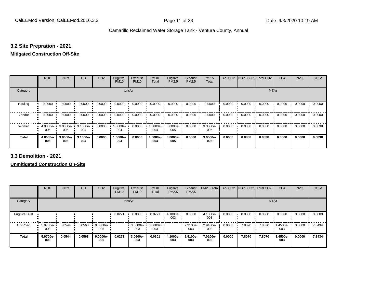#### **3.2 Site Prepration - 2021**

#### **Mitigated Construction Off-Site**

|                           | <b>ROG</b>      | <b>NO<sub>x</sub></b> | CO              | SO <sub>2</sub> | Fugitive<br><b>PM10</b> | Exhaust<br><b>PM10</b> | <b>PM10</b><br>Total | Fugitive<br><b>PM2.5</b> | Exhaust<br>PM2.5 | PM2.5<br>Total  |        | Bio- CO2   NBio- CO2   Total CO2 |        | CH <sub>4</sub> | <b>N2O</b> | CO <sub>2e</sub> |
|---------------------------|-----------------|-----------------------|-----------------|-----------------|-------------------------|------------------------|----------------------|--------------------------|------------------|-----------------|--------|----------------------------------|--------|-----------------|------------|------------------|
| Category                  |                 |                       |                 |                 | tons/yr                 |                        |                      |                          |                  |                 |        |                                  | MT/yr  |                 |            |                  |
| Hauling<br>$\blacksquare$ | 0.0000          | 0.0000                | 0.0000          | 0.0000          | 0.0000                  | 0.0000                 | 0.0000               | 0.0000                   | 0.0000           | 0.0000          | 0.0000 | 0.0000                           | 0.0000 | 0.0000          | 0.0000     | 0.0000           |
| Vendor<br>$\bullet$       | 0.0000          | 0.0000                | 0.0000          | 0.0000          | 0.0000                  | 0.0000                 | 0.0000               | 0.0000                   | 0.0000           | 0.0000          | 0.0000 | 0.0000                           | 0.0000 | 0.0000          | 0.0000     | 0.0000           |
| Worker<br>$\bullet$       | 4.0000e-<br>005 | 3.0000e-<br>005       | 3.1000e-<br>004 | 0.0000          | 1.0000e-<br>004         | 0.0000                 | 1.0000e-<br>004      | 3.0000e-<br>005          | 0.0000           | 3.0000e-<br>005 | 0.0000 | 0.0838                           | 0.0838 | 0.0000          | 0.0000     | 0.0838           |
| <b>Total</b>              | 4.0000e-<br>005 | 3.0000e-<br>005       | 3.1000e-<br>004 | 0.0000          | 1.0000e-<br>004         | 0.0000                 | 1.0000e-<br>004      | 3.0000e-<br>005          | 0.0000           | 3.0000e-<br>005 | 0.0000 | 0.0838                           | 0.0838 | 0.0000          | 0.0000     | 0.0838           |

**3.3 Demolition - 2021**

**Unmitigated Construction On-Site**

|                      | <b>ROG</b>         | <b>NO<sub>x</sub></b> | CO     | SO <sub>2</sub>    | Fugitive<br><b>PM10</b> | Exhaust<br><b>PM10</b> | <b>PM10</b><br>Total | Fugitive<br>PM2.5 | Exhaust<br><b>PM2.5</b> | PM2.5 Total     |        | Bio- CO2   NBio- CO2   Total CO2 |        | CH <sub>4</sub> | <b>N2O</b> | CO <sub>2e</sub> |
|----------------------|--------------------|-----------------------|--------|--------------------|-------------------------|------------------------|----------------------|-------------------|-------------------------|-----------------|--------|----------------------------------|--------|-----------------|------------|------------------|
| Category             |                    |                       |        |                    |                         | tons/yr                |                      |                   |                         |                 |        |                                  | MT/yr  |                 |            |                  |
| <b>Fugitive Dust</b> |                    |                       |        |                    | 0.0271                  | 0.0000                 | 0.0271               | 4.1000e-<br>003   | 0.0000                  | 4.1000e-<br>003 | 0.0000 | 0.0000                           | 0.0000 | 0.0000          | 0.0000     | 0.0000           |
| Off-Road             | $-5.9700e-$<br>003 | 0.0544                | 0.0568 | $9.0000e -$<br>005 |                         | 3.0600e-<br>003        | 3.0600e-<br>003      |                   | 2.9100e-<br>003         | 2.9100e-<br>003 | 0.0000 | 7.8070                           | 7.8070 | 1.4500e-<br>003 | 0.0000     | 7.8434           |
| <b>Total</b>         | 5.9700e-<br>003    | 0.0544                | 0.0568 | 9.0000e-<br>005    | 0.0271                  | 3.0600e-<br>003        | 0.0301               | 4.1000e-<br>003   | 2.9100e-<br>003         | 7.0100e-<br>003 | 0.0000 | 7.8070                           | 7.8070 | 1.4500e-<br>003 | 0.0000     | 7.8434           |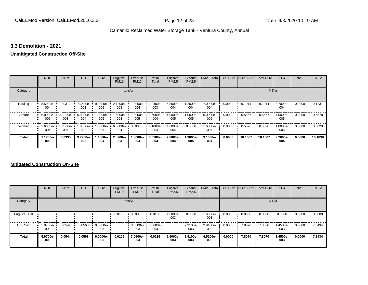#### **3.3 Demolition - 2021**

#### **Unmitigated Construction Off-Site**

|              | <b>ROG</b>         | <b>NO<sub>x</sub></b> | CO              | SO <sub>2</sub>    | Fugitive<br><b>PM10</b> | Exhaust<br><b>PM10</b> | <b>PM10</b><br>Total | Fugitive<br><b>PM2.5</b> | Exhaust<br>PM2.5 | PM2.5 Total Bio- CO2 NBio- CO2 Total CO2 |        |         |         | CH <sub>4</sub> | <b>N2O</b> | CO <sub>2e</sub> |
|--------------|--------------------|-----------------------|-----------------|--------------------|-------------------------|------------------------|----------------------|--------------------------|------------------|------------------------------------------|--------|---------|---------|-----------------|------------|------------------|
| Category     |                    |                       |                 |                    | tons/yr                 |                        |                      |                          |                  |                                          |        |         |         | MT/yr           |            |                  |
| Hauling      | 8.5000e-<br>004    | 0.0312                | 7.3500e-<br>003 | $9.0000e -$<br>005 | 2.1200e-<br>003         | 1.2000e-<br>004        | 2.2400e-<br>003      | 5.8000e-<br>004          | 1.2000e-<br>004  | 7.0000e-<br>004                          | 0.0000 | 9.1014  | 9.1014  | 8.7000e-<br>004 | 0.0000     | 9.1231           |
| Vendor       | $-6.0000e-$<br>005 | 2.1900e-<br>003       | 5.9000e-<br>004 | 1.0000e-<br>005    | 1.5000e-<br>004         | $1.0000e -$<br>005     | 1.6000e-<br>004      | 4.0000e-<br>005          | 1.0000e-<br>005  | 5.0000e-<br>005                          | 0.0000 | 0.5567  | 0.5567  | 4.0000e-<br>005 | 0.0000     | 0.5578           |
| Worker       | 2.6000e-<br>004    | 1.7000e-<br>004       | 1.8500e-<br>003 | 1.0000e-<br>005    | 6.0000e-<br>004         | 0.0000                 | 6.1000e-<br>004      | 1.6000e-<br>004          | 0.0000           | 1.6000e-<br>004                          | 0.0000 | 0.5026  | 0.5026  | 1.0000e-<br>005 | 0.0000     | 0.5029           |
| <b>Total</b> | 1.1700e-<br>003    | 0.0335                | 9.7900e-<br>003 | 1.1000e-<br>004    | 2.8700e-<br>003         | 1.3000e-<br>004        | 3.0100e-<br>003      | 7.8000e-<br>004          | -.3000e<br>004   | $9.1000e -$<br>004                       | 0.0000 | 10.1607 | 10.1607 | 9.2000e-<br>004 | 0.0000     | 10.1838          |

#### **Mitigated Construction On-Site**

|                      | <b>ROG</b>         | <b>NO<sub>x</sub></b> | CO     | SO <sub>2</sub> | Fugitive<br><b>PM10</b> | Exhaust<br><b>PM10</b> | <b>PM10</b><br>Total | Fugitive<br>PM2.5 | Exhaust<br><b>PM2.5</b> | PM2.5 Total Bio- CO2 NBio- CO2 Total CO2 |        |        |        | CH <sub>4</sub> | <b>N2O</b> | CO <sub>2e</sub> |
|----------------------|--------------------|-----------------------|--------|-----------------|-------------------------|------------------------|----------------------|-------------------|-------------------------|------------------------------------------|--------|--------|--------|-----------------|------------|------------------|
| Category             |                    |                       |        |                 |                         | tons/yr                |                      |                   |                         |                                          |        |        |        | MT/yr           |            |                  |
| <b>Fugitive Dust</b> |                    |                       |        |                 | 0.0106                  | 0.0000                 | 0.0106               | 1.6000e-<br>003   | 0.0000                  | -.6000e<br>003                           | 0.0000 | 0.0000 | 0.0000 | 0.0000          | 0.0000     | 0.0000           |
| Off-Road             | $-5.9700e-$<br>003 | 0.0544                | 0.0568 | 9.0000e-<br>005 |                         | 3.0600e-<br>003        | 3.0600e-<br>003      |                   | 2.9100e-<br>003         | 2.9100e-<br>003                          | 0.0000 | 7.8070 | 7.8070 | 1.4500e-<br>003 | 0.0000     | 7.8434           |
| <b>Total</b>         | 5.9700e-<br>003    | 0.0544                | 0.0568 | 9.0000e-<br>005 | 0.0106                  | 3.0600e-<br>003        | 0.0136               | 1.6000e-<br>003   | 2.9100e-<br>003         | 4.5100e-<br>003                          | 0.0000 | 7.8070 | 7.8070 | 1.4500e-<br>003 | 0.0000     | 7.8434           |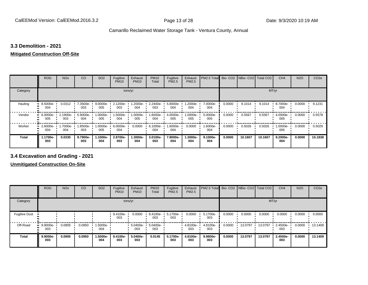#### **3.3 Demolition - 2021**

### **Mitigated Construction Off-Site**

|              | <b>ROG</b>      | <b>NO<sub>x</sub></b> | CO                | SO <sub>2</sub>    | Fugitive<br><b>PM10</b> | Exhaust<br><b>PM10</b> | <b>PM10</b><br>Total | Fugitive<br>PM2.5    | Exhaust<br>PM2.5 | PM2.5 Total       |        | Bio- CO2   NBio- CO2   Total CO2 |         | CH <sub>4</sub>    | <b>N2O</b> | CO <sub>2e</sub> |
|--------------|-----------------|-----------------------|-------------------|--------------------|-------------------------|------------------------|----------------------|----------------------|------------------|-------------------|--------|----------------------------------|---------|--------------------|------------|------------------|
| Category     |                 |                       |                   |                    | tons/yr                 |                        |                      |                      |                  |                   |        |                                  | MT/yr   |                    |            |                  |
| Hauling      | 8.5000e-<br>004 | 0.0312                | 7.3500e- '<br>003 | $9.0000e -$<br>005 | 2.1200e-<br>003         | 1.2000e-<br>004        | 2.2400e-<br>003      | 5.8000e-<br>004      | -2000e-<br>004   | 7.0000e-<br>004   | 0.0000 | 9.1014                           | 9.1014  | 8.7000e-<br>004    | 0.0000     | 9.1231           |
| Vendor       | 6.0000e-<br>005 | $-2.1900e-$<br>003    | 5.9000e-<br>004   | 1.0000e-<br>005    | 1.5000e-<br>004         | 1.0000e-<br>005        | 1.6000e-<br>004      | 4.0000e-<br>005      | -:0000e<br>005   | 5.0000e-<br>005   | 0.0000 | 0.5567                           | 0.5567  | 4.0000e-<br>005    | 0.0000     | 0.5578           |
| Worker       | 2.6000e-<br>004 | 1.7000e-<br>004       | 1.8500e-<br>003   | 1.0000e-<br>005    | 6.0000e-<br>004         | 0.0000                 | 6.1000e-<br>004      | -:0000 - 1.60<br>004 | 0.0000           | 1.6000e-<br>004   | 0.0000 | 0.5026                           | 0.5026  | 1.0000e-<br>005    | 0.0000     | 0.5029           |
| <b>Total</b> | 1.1700e-<br>003 | 0.0335                | 9.7900e-<br>003   | -.1000e<br>004     | 2.8700e-<br>003         | 1.3000e-<br>004        | 3.0100e-<br>003      | 7.8000e-<br>004      | -.3000e<br>004   | $9.1000e-$<br>004 | 0.0000 | 10.1607                          | 10.1607 | $9.2000e -$<br>004 | 0.0000     | 10.1838          |

#### **3.4 Excavation and Grading - 2021**

**Unmitigated Construction On-Site**

|                      | <b>ROG</b>        | <b>NO<sub>x</sub></b> | CO     | SO <sub>2</sub> | Fugitive<br><b>PM10</b> | Exhaust<br><b>PM10</b> | <b>PM10</b><br>Total | Fugitive<br><b>PM2.5</b> | Exhaust<br><b>PM2.5</b> | PM2.5 Total Bio- CO2 NBio- CO2 |        |         | Total CO <sub>2</sub> | CH <sub>4</sub> | <b>N2O</b> | CO <sub>2e</sub> |
|----------------------|-------------------|-----------------------|--------|-----------------|-------------------------|------------------------|----------------------|--------------------------|-------------------------|--------------------------------|--------|---------|-----------------------|-----------------|------------|------------------|
| Category             |                   |                       |        |                 |                         | tons/yr                |                      |                          |                         |                                |        |         | MT/yr                 |                 |            |                  |
| <b>Fugitive Dust</b> |                   |                       |        |                 | 9.4100e-<br>003         | 0.0000                 | 9.4100e-<br>003      | 5.1700e-<br>003          | 0.0000                  | 5.1700e-<br>003                | 0.0000 | 0.0000  | 0.0000                | 0.0000          | 0.0000     | 0.0000           |
| Off-Road             | $9.9000e-$<br>003 | 0.0905                | 0.0950 | 1.5000e-<br>004 |                         | 5.0400e-<br>003        | 5.0400e-<br>003      |                          | 4.8100e-<br>003         | 4.8100e-<br>003                | 0.0000 | 13.0797 | 13.0797               | 2.4500e-<br>003 | 0.0000     | 13.1409          |
| <b>Total</b>         | 9.9000e-<br>003   | 0.0905                | 0.0950 | 1.5000e-<br>004 | 9.4100e-<br>003         | 5.0400e-<br>003        | 0.0145               | 5.1700e-<br>003          | 4.8100e-<br>003         | 9.9800e-<br>003                | 0.0000 | 13.0797 | 13.0797               | 2.4500e-<br>003 | 0.0000     | 13.1409          |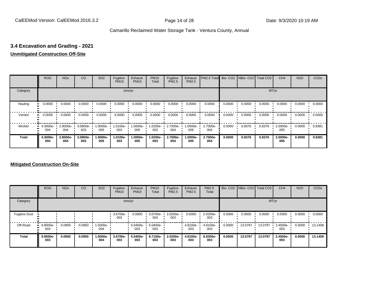#### **3.4 Excavation and Grading - 2021**

#### **Unmitigated Construction Off-Site**

|          | <b>ROG</b>      | <b>NO<sub>x</sub></b> | CO              | SO <sub>2</sub> | Fugitive<br><b>PM10</b> | Exhaust<br><b>PM10</b> | <b>PM10</b><br>Total | Fugitive<br><b>PM2.5</b> | Exhaust<br>PM2.5 | PM2.5 Total Bio- CO2 NBio- CO2 Total CO2 |        |        |        | CH <sub>4</sub> | <b>N2O</b> | CO <sub>2e</sub> |
|----------|-----------------|-----------------------|-----------------|-----------------|-------------------------|------------------------|----------------------|--------------------------|------------------|------------------------------------------|--------|--------|--------|-----------------|------------|------------------|
| Category |                 |                       |                 |                 |                         | tons/yr                |                      |                          |                  |                                          |        |        |        | MT/yr           |            |                  |
| Hauling  | 0.0000          | 0.0000                | 0.0000          | 0.0000          | 0.0000                  | 0.0000                 | 0.0000               | 0.0000                   | 0.0000           | 0.0000                                   | 0.0000 | 0.0000 | 0.0000 | 0.0000          | 0.0000     | 0.0000           |
| Vendor   | 0.0000          | 0.0000                | 0.0000          | 0.0000          | 0.0000                  | 0.0000                 | 0.0000               | 0.0000                   | 0.0000           | 0.0000                                   | 0.0000 | 0.0000 | 0.0000 | 0.0000          | 0.0000     | 0.0000           |
| Worker   | 4.3000e-<br>004 | 2.8000e-<br>004       | 3.0800e-<br>003 | -.0000e<br>005  | 1.0100e-<br>003         | 1.0000e-<br>005        | 1.0200e-<br>003      | 2.7000e-<br>004          | 1.0000e-<br>005  | 2.7000e-<br>004                          | 0.0000 | 0.8376 | 0.8376 | 2.0000e-<br>005 | 0.0000     | 0.8381           |
| Total    | 4.3000e-<br>004 | 2.8000e-<br>004       | 3.0800e-<br>003 | 1.0000e-<br>005 | 1.0100e-<br>003         | 1.0000e-<br>005        | 1.0200e-<br>003      | 2.7000e-<br>004          | 1.0000e-<br>005  | 2.7000e-<br>004                          | 0.0000 | 0.8376 | 0.8376 | 2.0000e-<br>005 | 0.0000     | 0.8381           |

#### **Mitigated Construction On-Site**

|                      | <b>ROG</b>            | <b>NO<sub>x</sub></b> | CO     | SO <sub>2</sub> | Fugitive<br><b>PM10</b> | Exhaust<br><b>PM10</b> | <b>PM10</b><br>Total | Fugitive<br><b>PM2.5</b> | Exhaust<br><b>PM2.5</b> | PM2.5<br>Total  |        | Bio- CO2   NBio- CO2   Total CO2 |         | CH <sub>4</sub> | <b>N2O</b> | CO <sub>2e</sub> |
|----------------------|-----------------------|-----------------------|--------|-----------------|-------------------------|------------------------|----------------------|--------------------------|-------------------------|-----------------|--------|----------------------------------|---------|-----------------|------------|------------------|
| Category             |                       |                       |        |                 |                         | tons/yr                |                      |                          |                         |                 |        |                                  |         | MT/yr           |            |                  |
| <b>Fugitive Dust</b> |                       |                       |        |                 | 3.6700e-<br>003         | 0.0000                 | 3.6700e-<br>003      | 2.0200e-<br>003          | 0.0000                  | 2.0200e-<br>003 | 0.0000 | 0.0000                           | 0.0000  | 0.0000          | 0.0000     | 0.0000           |
| Off-Road             | $9.9000e-$<br><br>003 | 0.0905                | 0.0950 | 1.5000e-<br>004 |                         | $5.0400e -$<br>003     | 5.0400e-<br>003      |                          | 4.8100e-<br>003         | 4.8100e-<br>003 | 0.0000 | 13.0797                          | 13.0797 | 2.4500e-<br>003 | 0.0000     | 13.1408          |
| <b>Total</b>         | 9.9000e-<br>003       | 0.0905                | 0.0950 | 1.5000e-<br>004 | 3.6700e-<br>003         | 5.0400e-<br>003        | 8.7100e-<br>003      | 2.0200e-<br>003          | 4.8100e-<br>003         | 6.8300e-<br>003 | 0.0000 | 13.0797                          | 13.0797 | 2.4500e-<br>003 | 0.0000     | 13.1408          |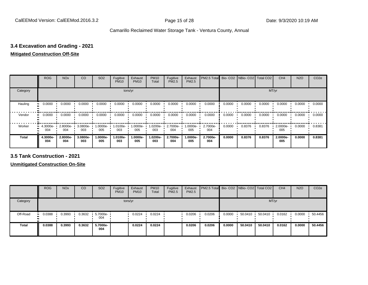#### **3.4 Excavation and Grading - 2021**

#### **Mitigated Construction Off-Site**

|              | <b>ROG</b>      | <b>NO<sub>x</sub></b> | CO              | SO <sub>2</sub>   | Fugitive<br><b>PM10</b> | Exhaust<br><b>PM10</b> | <b>PM10</b><br>Total | Fugitive<br><b>PM2.5</b> | Exhaust<br>PM2.5 | PM2.5 Total Bio- CO2 NBio- CO2 Total CO2 |        |        |        | CH <sub>4</sub> | <b>N2O</b> | CO <sub>2e</sub> |
|--------------|-----------------|-----------------------|-----------------|-------------------|-------------------------|------------------------|----------------------|--------------------------|------------------|------------------------------------------|--------|--------|--------|-----------------|------------|------------------|
| Category     |                 |                       |                 |                   |                         | tons/yr                |                      |                          |                  |                                          |        |        |        | MT/yr           |            |                  |
| Hauling      | 0.0000          | 0.0000                | 0.0000          | 0.0000            | 0.0000                  | 0.0000                 | 0.0000               | 0.0000                   | 0.0000           | 0.0000                                   | 0.0000 | 0.0000 | 0.0000 | 0.0000          | 0.0000     | 0.0000           |
| Vendor       | 0.0000          | 0.0000                | 0.0000          | 0.0000            | 0.0000                  | 0.0000                 | 0.0000               | 0.0000                   | 0.0000           | 0.0000                                   | 0.0000 | 0.0000 | 0.0000 | 0.0000          | 0.0000     | 0.0000           |
| Worker       | 4.3000e-<br>004 | 2.8000e-<br>004       | 3.0800e-<br>003 | 1.0000e- •<br>005 | $1.0100e -$<br>003      | 1.0000e-<br>005        | 1.0200e-<br>003      | 2.7000e-<br>004          | 1.0000e-<br>005  | 2.7000e-<br>004                          | 0.0000 | 0.8376 | 0.8376 | 2.0000e-<br>005 | 0.0000     | 0.8381           |
| <b>Total</b> | 4.3000e-<br>004 | 2.8000e-<br>004       | 3.0800e-<br>003 | $.0000e-$<br>005  | 1.0100e-<br>003         | 1.0000e-<br>005        | 1.0200e-<br>003      | 2.7000e-<br>004          | 1.0000e-<br>005  | 2.7000e-<br>004                          | 0.0000 | 0.8376 | 0.8376 | 2.0000e-<br>005 | 0.0000     | 0.8381           |

**3.5 Tank Construction - 2021**

**Unmitigated Construction On-Site**

|              | <b>ROG</b>   | <b>NO<sub>x</sub></b> | CO     | SO <sub>2</sub>         | Fugitive<br><b>PM10</b> | Exhaust<br><b>PM10</b> | <b>PM10</b><br>Total | Fugitive<br><b>PM2.5</b> | Exhaust<br>PM2.5 | <b>PM2.5 Total Bio-CO2 NBio-CO2 Total CO2</b> |        |         |         | CH <sub>4</sub> | <b>N2O</b> | CO <sub>2e</sub> |
|--------------|--------------|-----------------------|--------|-------------------------|-------------------------|------------------------|----------------------|--------------------------|------------------|-----------------------------------------------|--------|---------|---------|-----------------|------------|------------------|
| Category     |              |                       |        |                         |                         | tons/yr                |                      |                          |                  |                                               |        |         |         | MT/yr           |            |                  |
| Off-Road     | 0.0388<br>ш. | 0.3993                | 0.3632 | $\cdot$ 5.7000e-<br>004 |                         | 0.0224                 | 0.0224               |                          | 0.0206           | 0.0206                                        | 0.0000 | 50.0410 | 50.0410 | 0.0162          | 0.0000     | 50.4456          |
| <b>Total</b> | 0.0388       | 0.3993                | 0.3632 | 5.7000e-<br>004         |                         | 0.0224                 | 0.0224               |                          | 0.0206           | 0.0206                                        | 0.0000 | 50.0410 | 50.0410 | 0.0162          | 0.0000     | 50.4456          |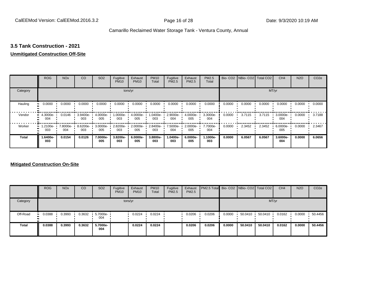#### **3.5 Tank Construction - 2021**

#### **Unmitigated Construction Off-Site**

|          | <b>ROG</b>      | <b>NO<sub>x</sub></b> | CO              | SO <sub>2</sub> | Fugitive<br><b>PM10</b> | Exhaust<br><b>PM10</b> | <b>PM10</b><br>Total | Fugitive<br><b>PM2.5</b> | Exhaust<br>PM2.5 | <b>PM2.5</b><br>Total |        | Bio- CO2   NBio- CO2   Total CO2 |        | CH <sub>4</sub> | <b>N2O</b> | CO <sub>2e</sub> |
|----------|-----------------|-----------------------|-----------------|-----------------|-------------------------|------------------------|----------------------|--------------------------|------------------|-----------------------|--------|----------------------------------|--------|-----------------|------------|------------------|
| Category |                 |                       |                 |                 |                         | tons/yr                |                      |                          |                  |                       |        |                                  | MT/yr  |                 |            |                  |
| Hauling  | 0.0000<br>œ     | 0.0000                | 0.0000          | 0.0000          | 0.0000                  | 0.0000                 | 0.0000               | 0.0000                   | 0.0000           | 0.0000                | 0.0000 | 0.0000                           | 0.0000 | 0.0000          | 0.0000     | 0.0000           |
| Vendor   | 4.3000e-<br>004 | 0.0146                | 3.9400e-<br>003 | 4.0000e-<br>005 | 1.0000e-<br>003         | 4.0000e-<br>005        | 1.0400e-<br>003      | 2.9000e-<br>004          | 4.0000e-<br>005  | 3.3000e-<br>004       | 0.0000 | 3.7115                           | 3.7115 | 3.0000e-<br>004 | 0.0000     | 3.7188           |
| Worker   | 1.2100e-<br>003 | 7.8000e-<br>004       | 8.6200e-<br>003 | 3.0000e-<br>005 | 2.8200e-<br>003         | 2.0000e-<br>005        | 2.8400e-<br>003      | 7.5000e-<br>004          | 2.0000e-<br>005  | 7.7000e-<br>004       | 0.0000 | 2.3452                           | 2.3452 | 6.0000e-<br>005 | 0.0000     | 2.3467           |
| Total    | 1.6400e-<br>003 | 0.0154                | 0.0126          | 7.0000e-<br>005 | 3.8200e-<br>003         | 6.0000e-<br>005        | 3.8800e-<br>003      | 1.0400e-<br>003          | 6.0000e-<br>005  | 1.1000e-<br>003       | 0.0000 | 6.0567                           | 6.0567 | 3.6000e-<br>004 | 0.0000     | 6.0656           |

#### **Mitigated Construction On-Site**

|              | <b>ROG</b>    | <b>NO<sub>x</sub></b> | CO     | SO <sub>2</sub>   | Fugitive<br><b>PM10</b> | Exhaust<br><b>PM10</b> | <b>PM10</b><br>Total | Fugitive<br>PM2.5 | Exhaust<br><b>PM2.5</b> | PM2.5 Total Bio- CO2 NBio- CO2 Total CO2 |        |         |         | CH <sub>4</sub> | <b>N2O</b> | CO <sub>2e</sub> |
|--------------|---------------|-----------------------|--------|-------------------|-------------------------|------------------------|----------------------|-------------------|-------------------------|------------------------------------------|--------|---------|---------|-----------------|------------|------------------|
| Category     |               |                       |        |                   |                         | tons/yr                |                      |                   |                         |                                          |        |         |         | MT/yr           |            |                  |
| Off-Road     | 0.0388<br>. . | 0.3993                | 0.3632 | 5.7000e- ·<br>004 |                         | 0.0224                 | 0.0224               |                   | 0.0206                  | 0.0206                                   | 0.0000 | 50.0410 | 50.0410 | 0.0162          | 0.0000     | 50.4456          |
| <b>Total</b> | 0.0388        | 0.3993                | 0.3632 | 5.7000e-<br>004   |                         | 0.0224                 | 0.0224               |                   | 0.0206                  | 0.0206                                   | 0.0000 | 50.0410 | 50.0410 | 0.0162          | 0.0000     | 50.4456          |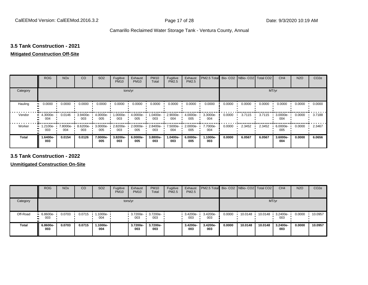### **3.5 Tank Construction - 2021**

#### **Mitigated Construction Off-Site**

|                     | <b>ROG</b>      | <b>NO<sub>x</sub></b> | CO              | SO <sub>2</sub> | Fugitive<br><b>PM10</b> | Exhaust<br><b>PM10</b> | <b>PM10</b><br>Total | Fugitive<br>PM2.5 | Exhaust<br>PM2.5 | PM2.5 Total     |        | Bio- CO2 NBio- CO2 Total CO2 |        | CH <sub>4</sub> | <b>N2O</b> | CO <sub>2e</sub> |
|---------------------|-----------------|-----------------------|-----------------|-----------------|-------------------------|------------------------|----------------------|-------------------|------------------|-----------------|--------|------------------------------|--------|-----------------|------------|------------------|
| Category            |                 |                       |                 |                 | tons/yr                 |                        |                      |                   |                  |                 |        |                              | MT/yr  |                 |            |                  |
| Hauling<br>81       | 0.0000          | 0.0000                | 0.0000          | 0.0000          | 0.0000                  | 0.0000                 | 0.0000               | 0.0000            | 0.0000           | 0.0000          | 0.0000 | 0.0000                       | 0.0000 | 0.0000          | 0.0000     | 0.0000           |
| Vendor              | 4.3000e-<br>004 | 0.0146                | 3.9400e-<br>003 | 4.0000e-<br>005 | 1.0000e-<br>003         | 4.0000e-<br>005        | 1.0400e-<br>003      | 2.9000e-<br>004   | 4.0000e-<br>005  | 3.3000e-<br>004 | 0.0000 | 3.7115                       | 3.7115 | 3.0000e-<br>004 | 0.0000     | 3.7188           |
| Worker<br>$\bullet$ | 1.2100e-<br>003 | 7.8000e-<br>004       | 8.6200e-<br>003 | 3.0000e-<br>005 | 2.8200e-<br>003         | 2.0000e-<br>005        | 2.8400e-<br>003      | 7.5000e-<br>004   | 2.0000e-<br>005  | 7.7000e-<br>004 | 0.0000 | 2.3452                       | 2.3452 | 6.0000e-<br>005 | 0.0000     | 2.3467           |
| <b>Total</b>        | -6400e.<br>003  | 0.0154                | 0.0126          | 7.0000e-<br>005 | 3.8200e-<br>003         | 6.0000e-<br>005        | 3.8800e-<br>003      | 1.0400e-<br>003   | 6.0000e-<br>005  | 1.1000e-<br>003 | 0.0000 | 6.0567                       | 6.0567 | 3.6000e-<br>004 | 0.0000     | 6.0656           |

**3.5 Tank Construction - 2022**

**Unmitigated Construction On-Site**

|                | <b>ROG</b>               | <b>NO<sub>x</sub></b> | CO     | SO <sub>2</sub>   | Fugitive<br><b>PM10</b> | Exhaust<br><b>PM10</b> | <b>PM10</b><br>Total     | Fugitive<br><b>PM2.5</b> | Exhaust<br>PM2.5 | <b>PM2.5 Total</b> Bio- CO2 NBio- CO2 Total CO2 |        |         |         | CH <sub>4</sub> | <b>N2O</b> | CO <sub>2e</sub> |
|----------------|--------------------------|-----------------------|--------|-------------------|-------------------------|------------------------|--------------------------|--------------------------|------------------|-------------------------------------------------|--------|---------|---------|-----------------|------------|------------------|
| Category       |                          |                       |        |                   | tons/yr                 |                        |                          |                          |                  |                                                 |        |         | MT/yr   |                 |            |                  |
| Off-Road<br>п. | $-6.8600e-$<br>003<br>m. | 0.0703                | 0.0715 | 1.1000e- •<br>004 |                         | 003                    | 3.7200e- 3.7200e-<br>003 |                          | 3.4200e-<br>003  | 3.4200e-<br>003                                 | 0.0000 | 10.0148 | 10.0148 | 3.2400e-<br>003 | 0.0000     | 10.0957          |
| <b>Total</b>   | 6.8600e-<br>003          | 0.0703                | 0.0715 | -1000e-،<br>004   |                         | 3.7200e-<br>003        | 3.7200e-<br>003          |                          | 3.4200e-<br>003  | 3.4200e-<br>003                                 | 0.0000 | 10.0148 | 10.0148 | 3.2400e-<br>003 | 0.0000     | 10.0957          |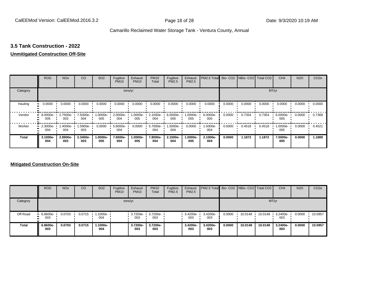#### **3.5 Tank Construction - 2022**

#### **Unmitigated Construction Off-Site**

|              | <b>ROG</b>                     | <b>NO<sub>x</sub></b> | CO              | SO <sub>2</sub> | Fugitive<br><b>PM10</b> | Exhaust<br><b>PM10</b> | <b>PM10</b><br>Total | Fugitive<br>PM2.5 | Exhaust<br>PM2.5 | PM2.5 Total     |        | Bio- CO2 NBio- CO2 Total CO2 |        | CH <sub>4</sub> | <b>N2O</b> | CO <sub>2e</sub> |
|--------------|--------------------------------|-----------------------|-----------------|-----------------|-------------------------|------------------------|----------------------|-------------------|------------------|-----------------|--------|------------------------------|--------|-----------------|------------|------------------|
| Category     |                                |                       |                 |                 | tons/yr                 |                        |                      |                   |                  |                 |        |                              | MT/yr  |                 |            |                  |
| Hauling      | 0.0000<br>81                   | 0.0000                | 0.0000          | 0.0000          | 0.0000                  | 0.0000                 | 0.0000               | 0.0000            | 0.0000           | 0.0000          | 0.0000 | 0.0000                       | 0.0000 | 0.0000          | 0.0000     | 0.0000           |
| Vendor       | $\blacksquare$ 8.0000e-<br>005 | 2.7500e-<br>003       | 7.5000e-<br>004 | 1.0000e-<br>005 | 2.0000e-<br>004         | 1.0000e-<br>005        | 2.1000e-<br>004      | 6.0000e-<br>005   | .0000e-<br>005   | 6.0000e-<br>005 | 0.0000 | 0.7354                       | 0.7354 | 6.0000e-<br>005 | 0.0000     | 0.7368           |
| Worker       | 2.3000e-<br>$\bullet$<br>004   | 1.4000e-<br>004       | 1.5900e-<br>003 | 0.0000          | 5.6000e-<br>004         | 0.0000                 | 5.7000e-<br>004      | 1.5000e-<br>004   | 0.0000           | 1.5000e-<br>004 | 0.0000 | 0.4518                       | 0.4518 | 1.0000e-<br>005 | 0.0000     | 0.4521           |
| <b>Total</b> | 3.1000e-<br>004                | 2.8900e-<br>003       | 2.3400e-<br>003 | 1.0000e-<br>005 | 7.6000e-<br>004         | 1.0000e-<br>005        | 7.8000e-<br>004      | 2.1000e-<br>004   | .0000e-<br>005   | 2.1000e-<br>004 | 0.0000 | 1.1872                       | 1.1872 | 7.0000e-<br>005 | 0.0000     | 1.1889           |

#### **Mitigated Construction On-Site**

|              | <b>ROG</b>         | <b>NO<sub>x</sub></b> | CO     | SO <sub>2</sub> | Fugitive<br><b>PM10</b> | Exhaust<br><b>PM10</b>   | <b>PM10</b><br>Total | Fugitive<br><b>PM2.5</b> | Exhaust<br><b>PM2.5</b> | PM2.5 Total  Bio- CO2   NBio- CO2   Total CO2 |        |         |         | CH <sub>4</sub> | <b>N2O</b> | CO <sub>2e</sub> |
|--------------|--------------------|-----------------------|--------|-----------------|-------------------------|--------------------------|----------------------|--------------------------|-------------------------|-----------------------------------------------|--------|---------|---------|-----------------|------------|------------------|
| Category     |                    |                       |        |                 |                         | tons/yr                  |                      |                          |                         |                                               |        |         |         | MT/yr           |            |                  |
| Off-Road     | $-6.8600e-$<br>003 | 0.0703                | 0.0715 | 1.1000e-<br>004 |                         | 3.7200e- 3.7200e-<br>003 | 003                  |                          | $-3.4200e-$<br>003      | 3.4200e-<br>003                               | 0.0000 | 10.0148 | 10.0148 | 3.2400e-<br>003 | 0.0000     | 10.0957          |
| <b>Total</b> | 6.8600e-<br>003    | 0.0703                | 0.0715 | .1000e-<br>004  |                         | 3.7200e-<br>003          | 3.7200e-<br>003      |                          | 3.4200e-<br>003         | 3.4200e-<br>003                               | 0.0000 | 10.0148 | 10.0148 | 3.2400e-<br>003 | 0.0000     | 10.0957          |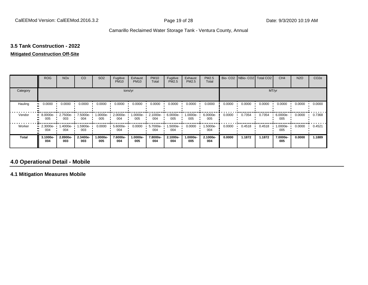# **3.5 Tank Construction - 2022**

#### **Mitigated Construction Off-Site**

|              | <b>ROG</b>                     | <b>NO<sub>x</sub></b> | CO              | SO <sub>2</sub> | Fugitive<br><b>PM10</b> | Exhaust<br><b>PM10</b> | <b>PM10</b><br>Total | Fugitive<br>PM2.5 | Exhaust<br>PM2.5 | PM2.5<br>Total  |        | Bio- CO2   NBio- CO2   Total CO2 |        | CH <sub>4</sub> | <b>N2O</b> | CO <sub>2e</sub> |
|--------------|--------------------------------|-----------------------|-----------------|-----------------|-------------------------|------------------------|----------------------|-------------------|------------------|-----------------|--------|----------------------------------|--------|-----------------|------------|------------------|
| Category     |                                |                       |                 |                 | tons/yr                 |                        |                      |                   |                  |                 |        |                                  | MT/yr  |                 |            |                  |
| Hauling      | 0.0000                         | 0.0000                | 0.0000          | 0.0000          | 0.0000                  | 0.0000                 | 0.0000               | 0.0000            | 0.0000           | 0.0000          | 0.0000 | 0.0000                           | 0.0000 | 0.0000          | 0.0000     | 0.0000           |
| Vendor       | $\blacksquare$ 8.0000e-<br>005 | 2.7500e-<br>003       | 7.5000e-<br>004 | 1.0000e-<br>005 | 2.0000e-<br>004         | 1.0000e-<br>005        | 2.1000e-<br>004      | 6.0000e-<br>005   | $.0000e-$<br>005 | 6.0000e-<br>005 | 0.0000 | 0.7354                           | 0.7354 | 6.0000e-<br>005 | 0.0000     | 0.7368           |
| Worker       | 2.3000e-<br>$\bullet$<br>004   | 1.4000e-<br>004       | 1.5900e-<br>003 | 0.0000          | 5.6000e-<br>004         | 0.0000                 | 5.7000e-<br>004      | 1.5000e-<br>004   | 0.0000           | 1.5000e-<br>004 | 0.0000 | 0.4518                           | 0.4518 | 1.0000e-<br>005 | 0.0000     | 0.4521           |
| <b>Total</b> | 3.1000e-<br>004                | 2.8900e-<br>003       | 2.3400e-<br>003 | 1.0000e-<br>005 | 7.6000e-<br>004         | 1.0000e-<br>005        | 7.8000e-<br>004      | 2.1000e-<br>004   | .0000e-<br>005   | 2.1000e-<br>004 | 0.0000 | 1.1872                           | 1.1872 | 7.0000e-<br>005 | 0.0000     | 1.1889           |

#### **4.0 Operational Detail - Mobile**

**4.1 Mitigation Measures Mobile**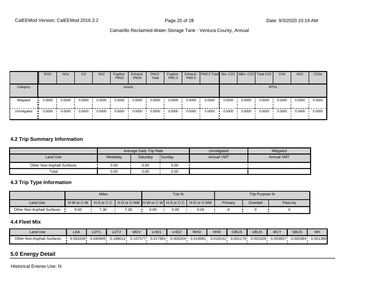|             | <b>ROG</b>          | <b>NO<sub>x</sub></b> | CO     | SO <sub>2</sub> | Fugitive<br><b>PM10</b> | Exhaust<br><b>PM10</b> | <b>PM10</b><br>Total | Fugitive<br><b>PM2.5</b> | Exhaust<br>PM2.5 | <b>PM2.5 Total Bio-CO2 NBio-CO2 Total CO2  </b> |        |        |        | CH <sub>4</sub> | <b>N2O</b> | CO <sub>2e</sub> |
|-------------|---------------------|-----------------------|--------|-----------------|-------------------------|------------------------|----------------------|--------------------------|------------------|-------------------------------------------------|--------|--------|--------|-----------------|------------|------------------|
| Category    |                     |                       |        |                 |                         | tons/yr                |                      |                          |                  |                                                 |        |        | MT/yr  |                 |            |                  |
| Mitigated   | 0.0000<br>$\bullet$ | 0.0000                | 0.0000 | 0.0000          | 0.0000                  | 0.0000                 | 0.0000               | 0.0000                   | 0.0000           | 0.0000                                          | 0.0000 | 0.0000 | 0.0000 | 0.0000          | 0.0000     | 0.0000           |
| Unmitigated | 0.0000              | 0.0000                | 0.0000 | 0.0000          | 0.0000                  | 0.0000                 | 0.0000               | 0.0000                   | 0.0000           | 0.0000                                          | 0.0000 | 0.0000 | 0.0000 | 0.0000          | 0.0000     | 0.0000           |

#### **4.2 Trip Summary Information**

|                            |         | Average Daily Trip Rate |        | Unmitigated       | Mitigated         |
|----------------------------|---------|-------------------------|--------|-------------------|-------------------|
| Land Use                   | Weekday | Saturday                | Sunday | <b>Annual VMT</b> | <b>Annual VMT</b> |
| Other Non-Asphalt Surfaces | 0.00    | 0.00                    | 0.00   |                   |                   |
| Total                      | 0.00    | 0.00                    | 0.00   |                   |                   |

#### **4.3 Trip Type Information**

|                            |            | <b>Miles</b> |                                                                |      | Trip % |      |         | Trip Purpose %  |         |
|----------------------------|------------|--------------|----------------------------------------------------------------|------|--------|------|---------|-----------------|---------|
| Land Use                   | H-W or C-W |              | H-S or C-C │ H-O or C-NW ┃H-W or C-W┃ H-S or C-C ┃ H-O or C-NW |      |        |      | Primary | <b>Diverted</b> | Pass-by |
| Other Non-Asphalt Surfaces | 9.50       | 7.30         | 7.30                                                           | 0.00 | 0.00   | 0.00 |         |                 |         |

#### **4.4 Fleet Mix**

| Land Use                   | LDA          | <b>LDT1</b> | LDT <sub>2</sub> | <b>MDV</b> | HD <sub>1</sub> | _HD <sub>2</sub> | <b>MHD</b> | HHD      | OBUS     | <b>UBUS</b> | <b>MCY</b> | <b>SBUS</b> | MH       |
|----------------------------|--------------|-------------|------------------|------------|-----------------|------------------|------------|----------|----------|-------------|------------|-------------|----------|
| Other Non-Asphalt Surfaces | $0.593330 -$ | 0.040945    | 0.188012         | 0.107577   | 0.017981        | 0.006204         | 0.019981   | 0.018142 | 0.001176 | 0.001026    | 0.003857   | 0.000384    | 0.001386 |

### **5.0 Energy Detail**

Historical Energy Use: N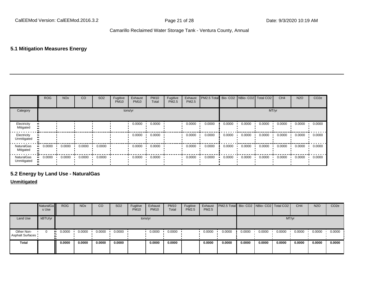#### **5.1 Mitigation Measures Energy**

|                                | <b>ROG</b> | <b>NO<sub>x</sub></b> | CO     | SO <sub>2</sub> | Fugitive<br><b>PM10</b> | Exhaust<br><b>PM10</b> | <b>PM10</b><br>Total | Fugitive<br>PM2.5 | Exhaust<br>PM2.5 | PM2.5 Total Bio- CO2 NBio- CO2 Total CO2 |        |        |        | CH <sub>4</sub> | <b>N2O</b> | CO <sub>2e</sub> |
|--------------------------------|------------|-----------------------|--------|-----------------|-------------------------|------------------------|----------------------|-------------------|------------------|------------------------------------------|--------|--------|--------|-----------------|------------|------------------|
| Category                       |            |                       |        |                 |                         | tons/yr                |                      |                   |                  |                                          |        |        | MT/yr  |                 |            |                  |
| Electricity<br>Mitigated       |            |                       |        |                 |                         | 0.0000                 | 0.0000               |                   | 0.0000           | 0.0000                                   | 0.0000 | 0.0000 | 0.0000 | 0.0000          | 0.0000     | 0.0000           |
| Electricity<br>Unmitigated     |            |                       |        |                 |                         | 0.0000                 | 0.0000               |                   | 0.0000           | 0.0000                                   | 0.0000 | 0.0000 | 0.0000 | 0.0000          | 0.0000     | 0.0000           |
| <b>NaturalGas</b><br>Mitigated | 0.0000     | 0.0000                | 0.0000 | 0.0000          |                         | 0.0000                 | 0.0000               |                   | 0.0000           | 0.0000                                   | 0.0000 | 0.0000 | 0.0000 | 0.0000          | 0.0000     | 0.0000           |
| NaturalGas<br>Unmitigated      | 0.0000     | 0.0000                | 0.0000 | 0.0000          |                         | 0.0000                 | 0.0000               |                   | 0.0000           | 0.0000                                   | 0.0000 | 0.0000 | 0.0000 | 0.0000          | 0.0000     | 0.0000           |

#### **5.2 Energy by Land Use - NaturalGas**

#### **Unmitigated**

|                                       | NaturalGa<br>s Use | <b>ROG</b> | <b>NO<sub>x</sub></b> | CO     | SO <sub>2</sub> | Fugitive<br><b>PM10</b> | Exhaust<br><b>PM10</b> | <b>PM10</b><br>Total | Fugitive<br>PM2.5 | Exhaust<br>PM2.5 | <b>PM2.5 Total</b> Bio- CO2 NBio- CO2 Total CO2 |        |        |        | CH <sub>4</sub> | <b>N2O</b> | CO <sub>2e</sub> |
|---------------------------------------|--------------------|------------|-----------------------|--------|-----------------|-------------------------|------------------------|----------------------|-------------------|------------------|-------------------------------------------------|--------|--------|--------|-----------------|------------|------------------|
| Land Use                              | kBTU/yr            |            |                       |        |                 |                         | tons/yr                |                      |                   |                  |                                                 |        |        | MT/yr  |                 |            |                  |
| Other Non-<br><b>Asphalt Surfaces</b> | 0                  | 0.0000     | 0.0000                | 0.0000 | 0.0000          |                         | 0.0000                 | 0.0000               |                   | 0.0000           | 0.0000                                          | 0.0000 | 0.0000 | 0.0000 | 0.0000          | 0.0000     | 0.0000           |
| Total                                 |                    | 0.0000     | 0.0000                | 0.0000 | 0.0000          |                         | 0.0000                 | 0.0000               |                   | 0.0000           | 0.0000                                          | 0.0000 | 0.0000 | 0.0000 | 0.0000          | 0.0000     | 0.0000           |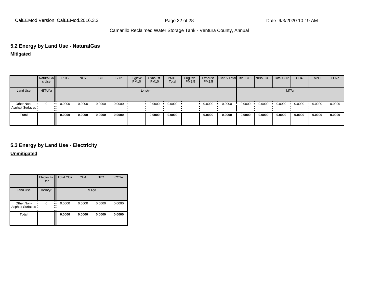# **5.2 Energy by Land Use - NaturalGas**

**Mitigated**

|                                | NaturalGa<br>s Use | <b>ROG</b> | <b>NO<sub>x</sub></b> | CO     | SO <sub>2</sub> | Fugitive<br><b>PM10</b> | Exhaust<br><b>PM10</b> | <b>PM10</b><br>Total | Fugitive<br>PM2.5 | Exhaust<br>PM2.5 | PM2.5 Total Bio- CO2 NBio- CO2 Total CO2 |        |        |        | CH <sub>4</sub> | <b>N2O</b> | CO <sub>2</sub> e |
|--------------------------------|--------------------|------------|-----------------------|--------|-----------------|-------------------------|------------------------|----------------------|-------------------|------------------|------------------------------------------|--------|--------|--------|-----------------|------------|-------------------|
| Land Use                       | kBTU/yr            |            |                       |        |                 |                         | tons/yr                |                      |                   |                  |                                          |        |        | MT/yr  |                 |            |                   |
| Other Non-<br>Asphalt Surfaces | 0                  | 0.0000<br> | 0.0000                | 0.0000 | 0.0000          |                         | 0.0000                 | 0.0000               |                   | 0.0000           | 0.0000                                   | 0.0000 | 0.0000 | 0.0000 | 0.0000          | 0.0000     | 0.0000            |
| <b>Total</b>                   |                    | 0.0000     | 0.0000                | 0.0000 | 0.0000          |                         | 0.0000                 | 0.0000               |                   | 0.0000           | 0.0000                                   | 0.0000 | 0.0000 | 0.0000 | 0.0000          | 0.0000     | 0.0000            |

#### **5.3 Energy by Land Use - Electricity**

**Unmitigated**

|                                       | Electricity<br><b>Use</b> | Total CO <sub>2</sub> | CH <sub>4</sub> | <b>N2O</b> | CO <sub>2e</sub> |
|---------------------------------------|---------------------------|-----------------------|-----------------|------------|------------------|
| Land Use                              | kWh/yr                    |                       | MT/yr           |            |                  |
| Other Non-<br><b>Asphalt Surfaces</b> | $\Omega$                  | 0.0000                | 0.0000          | 0.0000     | 0.0000           |
| <b>Total</b>                          |                           | 0.0000                | 0.0000          | 0.0000     | 0.0000           |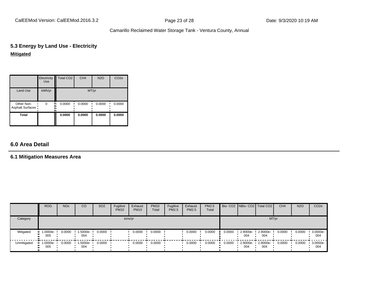CalEEMod Version: CalEEMod.2016.3.2 **Page 23 of 28** Page 23 of 28 Date: 9/3/2020 10:19 AM

#### Camarillo Reclaimed Water Storage Tank - Ventura County, Annual

### **5.3 Energy by Land Use - Electricity Mitigated**

|                                       | Electricity<br><b>Use</b> | Total CO <sub>2</sub> | CH <sub>4</sub> | <b>N2O</b> | CO <sub>2e</sub> |
|---------------------------------------|---------------------------|-----------------------|-----------------|------------|------------------|
| Land Use                              | kWh/yr                    |                       | MT/yr           |            |                  |
| Other Non-<br><b>Asphalt Surfaces</b> | $\Omega$                  | 0.0000                | 0.0000          | 0.0000     | 0.0000           |
| <b>Total</b>                          |                           | 0.0000                | 0.0000          | 0.0000     | 0.0000           |

#### **6.0 Area Detail**

#### **6.1 Mitigation Measures Area**

|             | <b>ROG</b>                           | <b>NO<sub>x</sub></b> | CO                | SO <sub>2</sub> | Fugitive<br><b>PM10</b> | Exhaust<br><b>PM10</b> | <b>PM10</b><br>Total | Fugitive<br><b>PM2.5</b> | Exhaust<br><b>PM2.5</b> | <b>PM2.5</b><br>Total |        |                 | Bio- CO2   NBio- CO2   Total CO2 | CH <sub>4</sub> | <b>N2O</b> | CO <sub>2</sub> e |
|-------------|--------------------------------------|-----------------------|-------------------|-----------------|-------------------------|------------------------|----------------------|--------------------------|-------------------------|-----------------------|--------|-----------------|----------------------------------|-----------------|------------|-------------------|
| Category    |                                      |                       |                   |                 |                         | tons/yr                |                      |                          |                         |                       |        |                 | MT/yr                            |                 |            |                   |
| Mitigated   | $\blacksquare$ 1.0000e-<br>005<br>ш. | 0.0000                | 1.5000e-<br>004   | 0.0000          |                         | 0.0000                 | 0.0000               |                          | 0.0000                  | 0.0000                | 0.0000 | 2.9000e-<br>004 | 2.9000e-<br>004                  | 0.0000          | 0.0000     | 3.0000e-<br>004   |
| Unmitigated | $\blacksquare$ 1.0000e-<br>005<br>ш. | 0.0000                | $1.5000e-$<br>004 | 0.0000          |                         | 0.0000                 | 0.0000               |                          | 0.0000                  | 0.0000                | 0.0000 | 2.9000e-<br>004 | 2.9000e-<br>004                  | 0.0000          | 0.0000     | 3.0000e-<br>004   |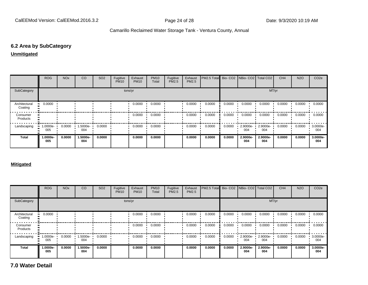#### **6.2 Area by SubCategory**

#### **Unmitigated**

|                          | <b>ROG</b>      | <b>NO<sub>x</sub></b> | CO              | SO <sub>2</sub> | Fugitive<br><b>PM10</b> | Exhaust<br><b>PM10</b> | <b>PM10</b><br>Total | Fugitive<br>PM2.5 | Exhaust<br><b>PM2.5</b> | PM2.5 Total Bio- CO2 |        | NBio- CO2   Total CO2 |                 | CH <sub>4</sub> | <b>N2O</b> | CO <sub>2e</sub> |
|--------------------------|-----------------|-----------------------|-----------------|-----------------|-------------------------|------------------------|----------------------|-------------------|-------------------------|----------------------|--------|-----------------------|-----------------|-----------------|------------|------------------|
| SubCategory              |                 |                       |                 |                 |                         | tons/yr                |                      |                   |                         |                      |        |                       |                 | MT/yr           |            |                  |
| Architectural<br>Coating | 0.0000          |                       |                 |                 |                         | 0.0000                 | 0.0000               |                   | 0.0000                  | 0.0000               | 0.0000 | 0.0000                | 0.0000          | 0.0000          | 0.0000     | 0.0000           |
| Consumer<br>Products     |                 |                       |                 |                 |                         | 0.0000                 | 0.0000               |                   | 0.0000                  | 0.0000               | 0.0000 | 0.0000                | 0.0000          | 0.0000          | 0.0000     | 0.0000           |
| Landscaping              | 1.0000e-<br>005 | 0.0000                | 1.5000e-<br>004 | 0.0000          |                         | 0.0000                 | 0.0000               |                   | 0.0000                  | 0.0000               | 0.0000 | 2.9000e-<br>004       | 2.9000e-<br>004 | 0.0000          | 0.0000     | 3.0000e-<br>004  |
| <b>Total</b>             | 1.0000e-<br>005 | 0.0000                | 1.5000e-<br>004 | 0.0000          |                         | 0.0000                 | 0.0000               |                   | 0.0000                  | 0.0000               | 0.0000 | 2.9000e-<br>004       | 2.9000e-<br>004 | 0.0000          | 0.0000     | 3.0000e-<br>004  |

#### **Mitigated**

|                          | ROG             | <b>NO<sub>x</sub></b> | CO              | SO <sub>2</sub> | Fugitive<br><b>PM10</b> | Exhaust<br><b>PM10</b> | <b>PM10</b><br>Total | Fugitive<br><b>PM2.5</b> | Exhaust<br><b>PM2.5</b> | <b>IPM2.5 Total</b> Bio- CO2 INBio- CO2 Total CO2 |        |                 |                 | CH <sub>4</sub> | <b>N2O</b> | CO <sub>2e</sub> |
|--------------------------|-----------------|-----------------------|-----------------|-----------------|-------------------------|------------------------|----------------------|--------------------------|-------------------------|---------------------------------------------------|--------|-----------------|-----------------|-----------------|------------|------------------|
| SubCategory              |                 |                       |                 |                 | tons/yr                 |                        |                      |                          |                         |                                                   |        |                 | MT/yr           |                 |            |                  |
| Architectural<br>Coating | 0.0000          |                       |                 |                 |                         | 0.0000                 | 0.0000               |                          | 0.0000                  | 0.0000                                            | 0.0000 | 0.0000          | 0.0000          | 0.0000          | 0.0000     | 0.0000           |
| Consumer<br>Products     |                 |                       |                 |                 |                         | 0.0000                 | 0.0000               |                          | 0.0000                  | 0.0000                                            | 0.0000 | 0.0000          | 0.0000          | 0.0000          | 0.0000     | 0.0000           |
| Landscaping              | 1.0000e-<br>005 | 0.0000                | 1.5000e-<br>004 | 0.0000          |                         | 0.0000                 | 0.0000               |                          | 0.0000                  | 0.0000                                            | 0.0000 | 2.9000e-<br>004 | 2.9000e-<br>004 | 0.0000          | 0.0000     | 3.0000e-<br>004  |
| <b>Total</b>             | 1.0000e-<br>005 | 0.0000                | 1.5000e-<br>004 | 0.0000          |                         | 0.0000                 | 0.0000               |                          | 0.0000                  | 0.0000                                            | 0.0000 | 2.9000e-<br>004 | 2.9000e-<br>004 | 0.0000          | 0.0000     | 3.0000e-<br>004  |

**7.0 Water Detail**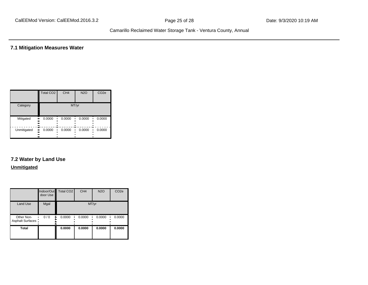**7.1 Mitigation Measures Water**

|             | Total CO <sub>2</sub>  | CH <sub>4</sub> | <b>N2O</b> | CO <sub>2e</sub> |
|-------------|------------------------|-----------------|------------|------------------|
| Category    |                        |                 | MT/yr      |                  |
| Mitigated   | 0.0000<br><br><br>     | 0.0000          | 0.0000     | 0.0000           |
| Unmitigated | 0.0000<br><br><br><br> | 0.0000          | 0.0000     | 0.0000           |

# **7.2 Water by Land Use**

#### **Unmitigated**

|                                 | door Use | Indoor/Out Total CO2 | CH <sub>4</sub> | <b>N2O</b> | CO <sub>2e</sub> |
|---------------------------------|----------|----------------------|-----------------|------------|------------------|
| <b>Land Use</b>                 | Mgal     |                      |                 | MT/yr      |                  |
| Other Non-<br>Asphalt Surfaces: | 0/0      | 0.0000               | 0.0000          | 0.0000     | 0.0000           |
| <b>Total</b>                    |          | 0.0000               | 0.0000          | 0.0000     | 0.0000           |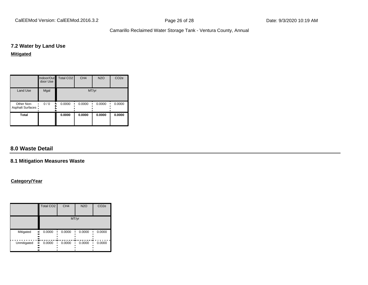CalEEMod Version: CalEEMod.2016.3.2 **Page 26 of 28** Page 26 of 28 Date: 9/3/2020 10:19 AM

Camarillo Reclaimed Water Storage Tank - Ventura County, Annual

#### **7.2 Water by Land Use**

#### **Mitigated**

|                                 | door Use | Indoor/Out   Total CO2 | CH <sub>4</sub> | <b>N2O</b> | CO <sub>2e</sub> |
|---------------------------------|----------|------------------------|-----------------|------------|------------------|
| <b>Land Use</b>                 | Mgal     |                        | MT/yr           |            |                  |
| Other Non-<br>Asphalt Surfaces: | 0/0<br>  | 0.0000                 | 0.0000          | 0.0000     | 0.0000           |
| <b>Total</b>                    |          | 0.0000                 | 0.0000          | 0.0000     | 0.0000           |

#### **8.0 Waste Detail**

#### **8.1 Mitigation Measures Waste**

#### **Category/Year**

|             | Total CO <sub>2</sub>       | CH <sub>4</sub> | <b>N2O</b> | CO <sub>2e</sub> |
|-------------|-----------------------------|-----------------|------------|------------------|
|             |                             |                 | MT/yr      |                  |
| Mitigated   | 0.0000<br>.,<br><br><br>    | 0.0000          | 0.0000     | 0.0000           |
| Unmitigated | <br>0.0000<br>ш<br><br><br> | 0.0000          | 0.0000     | 0.0000           |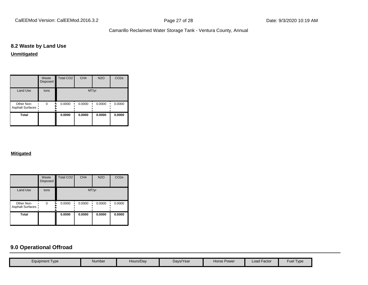CalEEMod Version: CalEEMod.2016.3.2 **Page 27 of 28** Page 27 of 28 Date: 9/3/2020 10:19 AM

Camarillo Reclaimed Water Storage Tank - Ventura County, Annual

#### **8.2 Waste by Land Use**

**Unmitigated**

|                                 | Waste<br><b>Disposed</b> | <b>Total CO2</b> | CH <sub>4</sub> | <b>N2O</b> | CO <sub>2e</sub> |
|---------------------------------|--------------------------|------------------|-----------------|------------|------------------|
| Land Use                        | tons                     |                  | MT/yr           |            |                  |
| Other Non-<br>Asphalt Surfaces: | $\Omega$                 | 0.0000           | 0.0000          | 0.0000     | 0.0000           |
| Total                           |                          | 0.0000           | 0.0000          | 0.0000     | 0.0000           |

#### **Mitigated**

|                                 | Waste<br><b>Disposed</b> | Total CO <sub>2</sub> | CH <sub>4</sub> | <b>N2O</b> | CO <sub>2e</sub> |
|---------------------------------|--------------------------|-----------------------|-----------------|------------|------------------|
| <b>Land Use</b>                 | tons                     |                       | MT/yr           |            |                  |
| Other Non-<br>Asphalt Surfaces: | $\Omega$                 | 0.0000                | 0.0000          | 0.0000     | 0.0000           |
| <b>Total</b>                    |                          | 0.0000                | 0.0000          | 0.0000     | 0.0000           |

#### **9.0 Operational Offroad**

| <b>Fuel Type</b><br><b>Load Factor</b><br>Hours/Day<br>Days/Year<br>Horse Power<br>Number<br>Equipment Type |  |  |  |  |
|-------------------------------------------------------------------------------------------------------------|--|--|--|--|
|                                                                                                             |  |  |  |  |